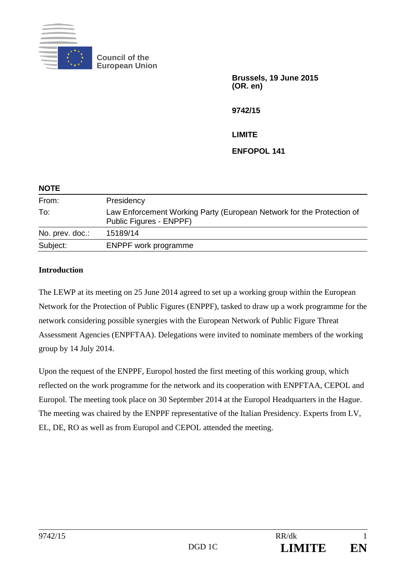

**Council of the European Union** 

> **Brussels, 19 June 2015 (OR. en)**

**9742/15** 

**LIMITE** 

**ENFOPOL 141** 

| <b>NOTE</b>     |                                                                                                  |
|-----------------|--------------------------------------------------------------------------------------------------|
| From:           | Presidency                                                                                       |
| To:             | Law Enforcement Working Party (European Network for the Protection of<br>Public Figures - ENPPF) |
| No. prev. doc.: | 15189/14                                                                                         |
| Subject:        | <b>ENPPF</b> work programme                                                                      |

## **Introduction**

The LEWP at its meeting on 25 June 2014 agreed to set up a working group within the European Network for the Protection of Public Figures (ENPPF), tasked to draw up a work programme for the network considering possible synergies with the European Network of Public Figure Threat Assessment Agencies (ENPFTAA). Delegations were invited to nominate members of the working group by 14 July 2014.

Upon the request of the ENPPF, Europol hosted the first meeting of this working group, which reflected on the work programme for the network and its cooperation with ENPFTAA, CEPOL and Europol. The meeting took place on 30 September 2014 at the Europol Headquarters in the Hague. The meeting was chaired by the ENPPF representative of the Italian Presidency. Experts from LV, EL, DE, RO as well as from Europol and CEPOL attended the meeting.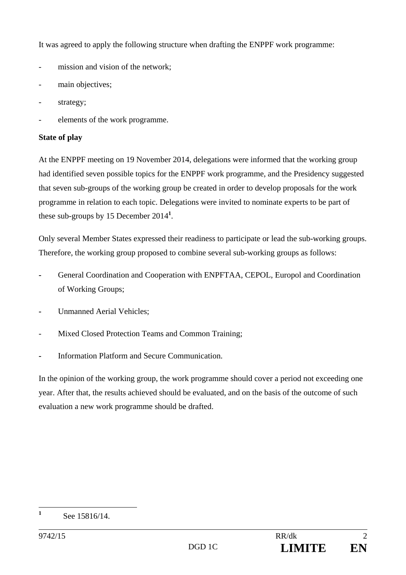It was agreed to apply the following structure when drafting the ENPPF work programme:

- mission and vision of the network;
- main objectives;
- strategy;
- elements of the work programme.

## **State of play**

At the ENPPF meeting on 19 November 2014, delegations were informed that the working group had identified seven possible topics for the ENPPF work programme, and the Presidency suggested that seven sub-groups of the working group be created in order to develop proposals for the work programme in relation to each topic. Delegations were invited to nominate experts to be part of these sub-groups by 15 December 2014**<sup>1</sup>** .

Only several Member States expressed their readiness to participate or lead the sub-working groups. Therefore, the working group proposed to combine several sub-working groups as follows:

- **-** General Coordination and Cooperation with ENPFTAA, CEPOL, Europol and Coordination of Working Groups;
- **-** Unmanned Aerial Vehicles;
- Mixed Closed Protection Teams and Common Training;
- **-** Information Platform and Secure Communication.

In the opinion of the working group, the work programme should cover a period not exceeding one year. After that, the results achieved should be evaluated, and on the basis of the outcome of such evaluation a new work programme should be drafted.

 **1** See 15816/14.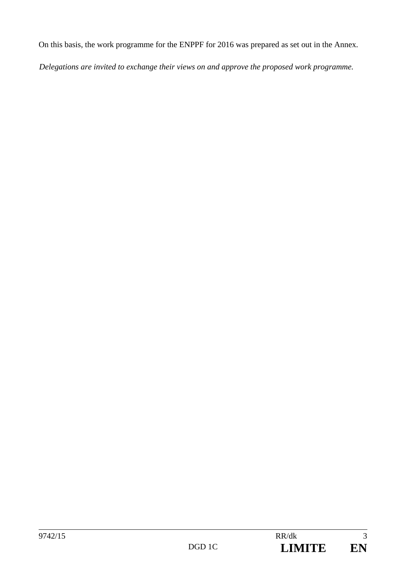On this basis, the work programme for the ENPPF for 2016 was prepared as set out in the Annex.

*Delegations are invited to exchange their views on and approve the proposed work programme.*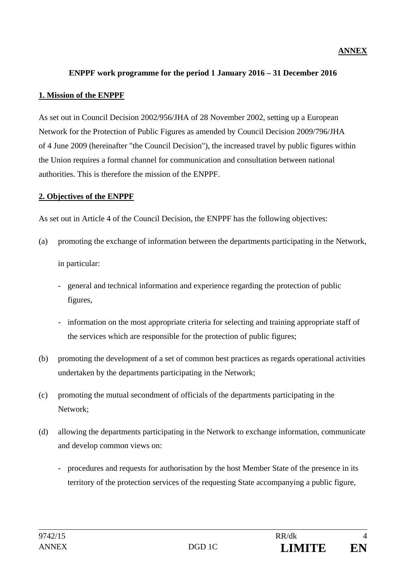### **ANNEX**

#### **ENPPF work programme for the period 1 January 2016 – 31 December 2016**

### **1. Mission of the ENPPF**

As set out in Council Decision 2002/956/JHA of 28 November 2002, setting up a European Network for the Protection of Public Figures as amended by Council Decision 2009/796/JHA of 4 June 2009 (hereinafter "the Council Decision"), the increased travel by public figures within the Union requires a formal channel for communication and consultation between national authorities. This is therefore the mission of the ENPPF.

### **2. Objectives of the ENPPF**

As set out in Article 4 of the Council Decision, the ENPPF has the following objectives:

(a) promoting the exchange of information between the departments participating in the Network,

in particular:

- general and technical information and experience regarding the protection of public figures,
- information on the most appropriate criteria for selecting and training appropriate staff of the services which are responsible for the protection of public figures;
- (b) promoting the development of a set of common best practices as regards operational activities undertaken by the departments participating in the Network;
- (c) promoting the mutual secondment of officials of the departments participating in the Network;
- (d) allowing the departments participating in the Network to exchange information, communicate and develop common views on:
	- procedures and requests for authorisation by the host Member State of the presence in its territory of the protection services of the requesting State accompanying a public figure,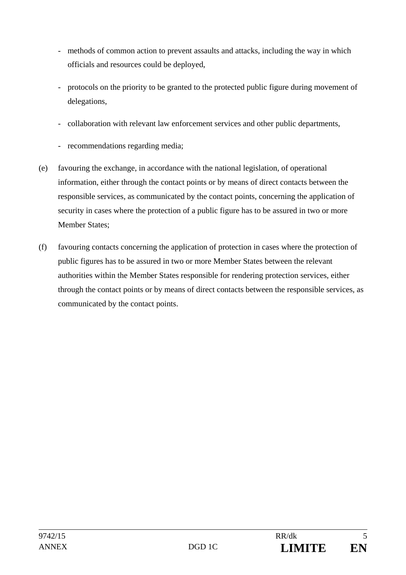- methods of common action to prevent assaults and attacks, including the way in which officials and resources could be deployed,
- protocols on the priority to be granted to the protected public figure during movement of delegations,
- collaboration with relevant law enforcement services and other public departments,
- recommendations regarding media;
- (e) favouring the exchange, in accordance with the national legislation, of operational information, either through the contact points or by means of direct contacts between the responsible services, as communicated by the contact points, concerning the application of security in cases where the protection of a public figure has to be assured in two or more Member States;
- (f) favouring contacts concerning the application of protection in cases where the protection of public figures has to be assured in two or more Member States between the relevant authorities within the Member States responsible for rendering protection services, either through the contact points or by means of direct contacts between the responsible services, as communicated by the contact points.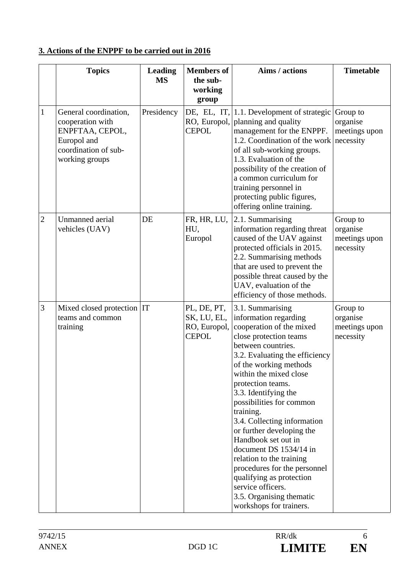# **3. Actions of the ENPPF to be carried out in 2016**

|                | <b>Topics</b>                                                                                                         | <b>Leading</b><br><b>MS</b> | <b>Members</b> of<br>the sub-<br>working<br>group          | Aims / actions                                                                                                                                                                                                                                                                                                                                                                                                                                                                                                                                                                     | <b>Timetable</b>                                   |
|----------------|-----------------------------------------------------------------------------------------------------------------------|-----------------------------|------------------------------------------------------------|------------------------------------------------------------------------------------------------------------------------------------------------------------------------------------------------------------------------------------------------------------------------------------------------------------------------------------------------------------------------------------------------------------------------------------------------------------------------------------------------------------------------------------------------------------------------------------|----------------------------------------------------|
| $\mathbf{1}$   | General coordination,<br>cooperation with<br>ENPFTAA, CEPOL,<br>Europol and<br>coordination of sub-<br>working groups | Presidency                  | RO, Europol,<br><b>CEPOL</b>                               | DE, EL, IT, $ 1.1$ . Development of strategic<br>planning and quality<br>management for the ENPPF.<br>1.2. Coordination of the work<br>of all sub-working groups.<br>1.3. Evaluation of the<br>possibility of the creation of<br>a common curriculum for<br>training personnel in<br>protecting public figures,<br>offering online training.                                                                                                                                                                                                                                       | Group to<br>organise<br>meetings upon<br>necessity |
| $\overline{2}$ | Unmanned aerial<br>vehicles (UAV)                                                                                     | DE                          | FR, HR, LU,<br>HU,<br>Europol                              | 2.1. Summarising<br>information regarding threat<br>caused of the UAV against<br>protected officials in 2015.<br>2.2. Summarising methods<br>that are used to prevent the<br>possible threat caused by the<br>UAV, evaluation of the<br>efficiency of those methods.                                                                                                                                                                                                                                                                                                               | Group to<br>organise<br>meetings upon<br>necessity |
| 3              | Mixed closed protection IT<br>teams and common<br>training                                                            |                             | PL, DE, PT,<br>SK, LU, EL,<br>RO, Europol,<br><b>CEPOL</b> | 3.1. Summarising<br>information regarding<br>cooperation of the mixed<br>close protection teams<br>between countries.<br>3.2. Evaluating the efficiency<br>of the working methods<br>within the mixed close<br>protection teams.<br>3.3. Identifying the<br>possibilities for common<br>training.<br>3.4. Collecting information<br>or further developing the<br>Handbook set out in<br>document DS 1534/14 in<br>relation to the training<br>procedures for the personnel<br>qualifying as protection<br>service officers.<br>3.5. Organising thematic<br>workshops for trainers. | Group to<br>organise<br>meetings upon<br>necessity |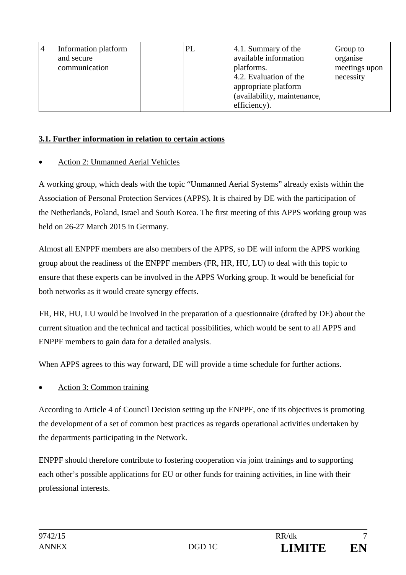| Information platform<br>and secure<br>communication | PL | 4.1. Summary of the<br>available information<br>platforms.<br>4.2. Evaluation of the<br>appropriate platform | Group to<br>organise<br>meetings upon<br>necessity |
|-----------------------------------------------------|----|--------------------------------------------------------------------------------------------------------------|----------------------------------------------------|
|                                                     |    | (availability, maintenance,<br>efficiency).                                                                  |                                                    |

## **3.1. Further information in relation to certain actions**

## Action 2: Unmanned Aerial Vehicles

A working group, which deals with the topic "Unmanned Aerial Systems" already exists within the Association of Personal Protection Services (APPS). It is chaired by DE with the participation of the Netherlands, Poland, Israel and South Korea. The first meeting of this APPS working group was held on 26-27 March 2015 in Germany.

Almost all ENPPF members are also members of the APPS, so DE will inform the APPS working group about the readiness of the ENPPF members (FR, HR, HU, LU) to deal with this topic to ensure that these experts can be involved in the APPS Working group. It would be beneficial for both networks as it would create synergy effects.

FR, HR, HU, LU would be involved in the preparation of a questionnaire (drafted by DE) about the current situation and the technical and tactical possibilities, which would be sent to all APPS and ENPPF members to gain data for a detailed analysis.

When APPS agrees to this way forward, DE will provide a time schedule for further actions.

# Action 3: Common training

According to Article 4 of Council Decision setting up the ENPPF, one if its objectives is promoting the development of a set of common best practices as regards operational activities undertaken by the departments participating in the Network.

ENPPF should therefore contribute to fostering cooperation via joint trainings and to supporting each other's possible applications for EU or other funds for training activities, in line with their professional interests.